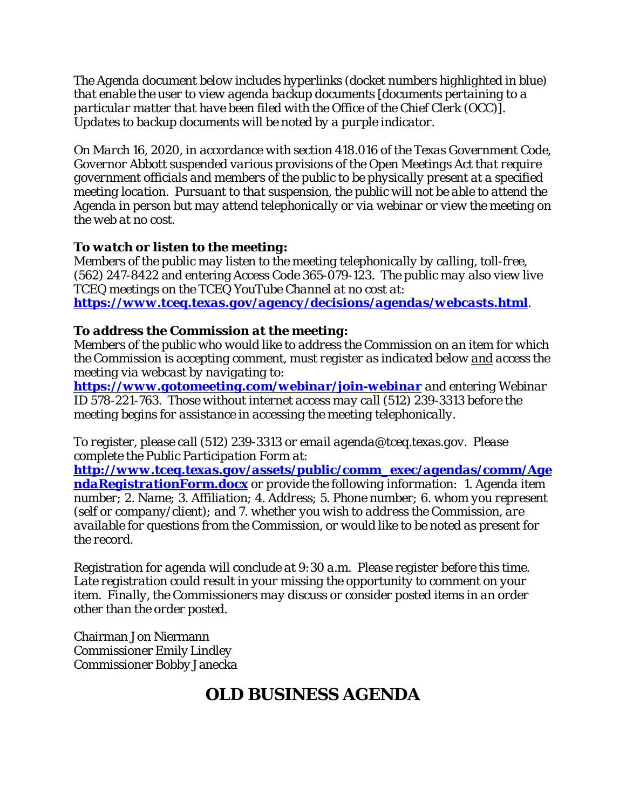*The Agenda document below includes hyperlinks (docket numbers highlighted in blue) that enable the user to view agenda backup documents [documents pertaining to a particular matter that have been filed with the Office of the Chief Clerk (OCC)]. Updates to backup documents will be noted by a purple indicator.* 

*On March 16, 2020, in accordance with section 418.016 of the Texas Government Code, Governor Abbott suspended various provisions of the Open Meetings Act that require government officials and members of the public to be physically present at a specified meeting location. Pursuant to that suspension, the public will not be able to attend the Agenda in person but may attend telephonically or via webinar or view the meeting on the web at no cost.* 

# *To watch or listen to the meeting:*

*Members of the public may listen to the meeting telephonically by calling, toll-free,*  (562) 247-8422 and entering Access Code 365-079-123*. The public may also view live TCEQ meetings on the TCEQ YouTube Channel at no cost at: <https://www.tceq.texas.gov/agency/decisions/agendas/webcasts.html>.* 

# *To address the Commission at the meeting:*

*Members of the public who would like to address the Commission on an item for which the Commission is accepting comment, must register as indicated below and access the meeting via webcast by navigating to:*

*<https://www.gotomeeting.com/webinar/join-webinar> and entering Webinar ID* 578-221-763*. Those without internet access may call (512) 239-3313 before the meeting begins for assistance in accessing the meeting telephonically.*

*To register, please call (512) 239-3313 or email agenda@tceq.texas.gov. Please complete the Public Participation Form at:* 

*[http://www.tceq.texas.gov/assets/public/comm\\_exec/agendas/comm/Age](http://www.tceq.texas.gov/assets/public/comm_exec/agendas/comm/AgendaRegistrationForm.docx) [ndaRegistrationForm.docx](http://www.tceq.texas.gov/assets/public/comm_exec/agendas/comm/AgendaRegistrationForm.docx) or provide the following information: 1. Agenda item number; 2. Name; 3. Affiliation; 4. Address; 5. Phone number; 6. whom you represent (self or company/client); and 7. whether you wish to address the Commission, are available for questions from the Commission, or would like to be noted as present for the record.* 

*Registration for agenda will conclude at 9:30 a.m. Please register before this time. Late registration could result in your missing the opportunity to comment on your item. Finally, the Commissioners may discuss or consider posted items in an order other than the order posted.*

Chairman Jon Niermann Commissioner Emily Lindley Commissioner Bobby Janecka

# **OLD BUSINESS AGENDA**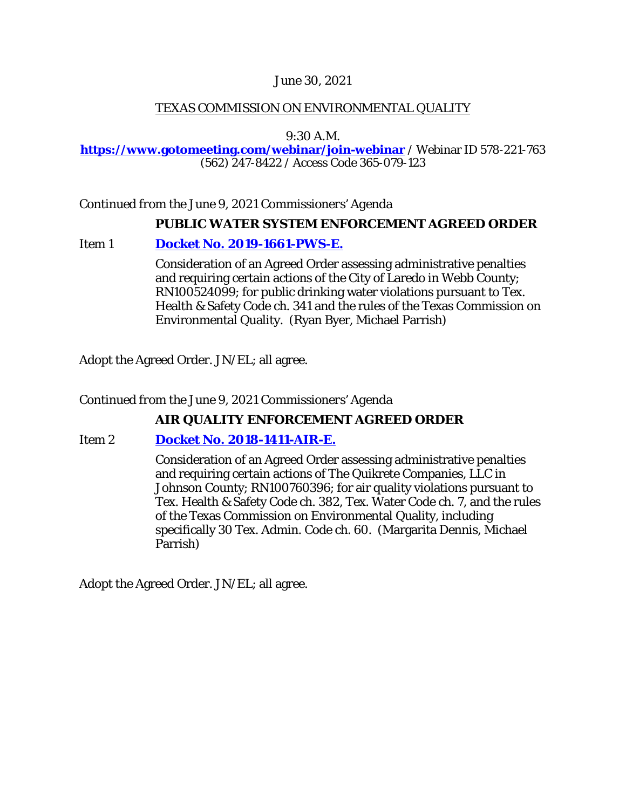## June 30, 2021

# TEXAS COMMISSION ON ENVIRONMENTAL QUALITY

9:30 A.M.

#### **[https://www.gotomeeting.com/webinar/join-webinar](https://www.gotomeeting.com/webinar/join-webinar%20/)** / Webinar ID 578-221-763 (562) 247-8422 / Access Code 365-079-123

*Continued from the June 9, 2021 Commissioners' Agenda* 

## **PUBLIC WATER SYSTEM ENFORCEMENT AGREED ORDER**

# Item 1 **[Docket No. 2019-1661-PWS-E.](http://www.tceq.texas.gov/assets/public/comm_exec/agendas/comm/backup/Agendas/2021/06-30-2021/1661PWS.pdf)**

Consideration of an Agreed Order assessing administrative penalties and requiring certain actions of the City of Laredo in Webb County; RN100524099; for public drinking water violations pursuant to Tex. Health & Safety Code ch. 341 and the rules of the Texas Commission on Environmental Quality. (Ryan Byer, Michael Parrish)

Adopt the Agreed Order. JN/EL; all agree.

*Continued from the June 9, 2021 Commissioners' Agenda* 

# **AIR QUALITY ENFORCEMENT AGREED ORDER**

# Item 2 **[Docket No. 2018-1411-AIR-E.](http://www.tceq.texas.gov/assets/public/comm_exec/agendas/comm/backup/Agendas/2021/06-30-2021/1411AIR.pdf)**

Consideration of an Agreed Order assessing administrative penalties and requiring certain actions of The Quikrete Companies, LLC in Johnson County; RN100760396; for air quality violations pursuant to Tex. Health & Safety Code ch. 382, Tex. Water Code ch. 7, and the rules of the Texas Commission on Environmental Quality, including specifically 30 Tex. Admin. Code ch. 60. (Margarita Dennis, Michael Parrish)

Adopt the Agreed Order. JN/EL; all agree.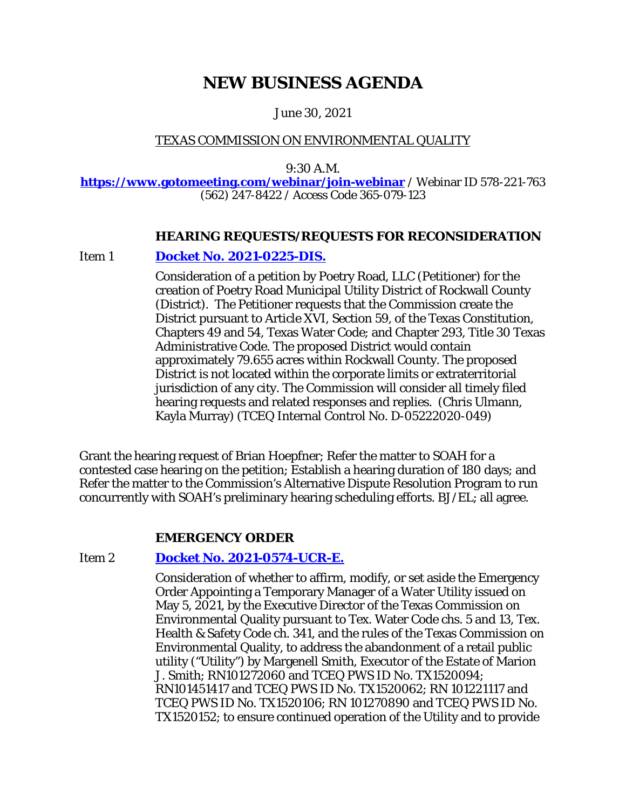# **NEW BUSINESS AGENDA**

June 30, 2021

# TEXAS COMMISSION ON ENVIRONMENTAL QUALITY

9:30 A.M.

**[https://www.gotomeeting.com/webinar/join-webinar](https://www.gotomeeting.com/webinar/join-webinar%20/)** / Webinar ID 578-221-763 (562) 247-8422 / Access Code 365-079-123

## **HEARING REQUESTS/REQUESTS FOR RECONSIDERATION**

Item 1 **[Docket No. 2021-0225-DIS.](http://www.tceq.texas.gov/assets/public/comm_exec/agendas/comm/backup/Agendas/2021/06-30-2021/poetry.pdf)**

Consideration of a petition by Poetry Road, LLC (Petitioner) for the creation of Poetry Road Municipal Utility District of Rockwall County (District). The Petitioner requests that the Commission create the District pursuant to Article XVI, Section 59, of the Texas Constitution, Chapters 49 and 54, Texas Water Code; and Chapter 293, Title 30 Texas Administrative Code. The proposed District would contain approximately 79.655 acres within Rockwall County. The proposed District is not located within the corporate limits or extraterritorial jurisdiction of any city. The Commission will consider all timely filed hearing requests and related responses and replies. (Chris Ulmann, Kayla Murray) (TCEQ Internal Control No. D-05222020-049)

Grant the hearing request of Brian Hoepfner; Refer the matter to SOAH for a contested case hearing on the petition; Establish a hearing duration of 180 days; and Refer the matter to the Commission's Alternative Dispute Resolution Program to run concurrently with SOAH's preliminary hearing scheduling efforts. BJ/EL; all agree.

#### **EMERGENCY ORDER**

# Item 2 **[Docket No. 2021-0574-UCR-E.](http://www.tceq.texas.gov/assets/public/comm_exec/agendas/comm/backup/Agendas/2021/06-30-2021/0574UCR.pdf)**

Consideration of whether to affirm, modify, or set aside the Emergency Order Appointing a Temporary Manager of a Water Utility issued on May 5, 2021, by the Executive Director of the Texas Commission on Environmental Quality pursuant to Tex. Water Code chs. 5 and 13, Tex. Health & Safety Code ch. 341, and the rules of the Texas Commission on Environmental Quality, to address the abandonment of a retail public utility ("Utility") by Margenell Smith, Executor of the Estate of Marion J. Smith; RN101272060 and TCEQ PWS ID No. TX1520094; RN101451417 and TCEQ PWS ID No. TX1520062; RN 101221117 and TCEQ PWS ID No. TX1520106; RN 101270890 and TCEQ PWS ID No. TX1520152; to ensure continued operation of the Utility and to provide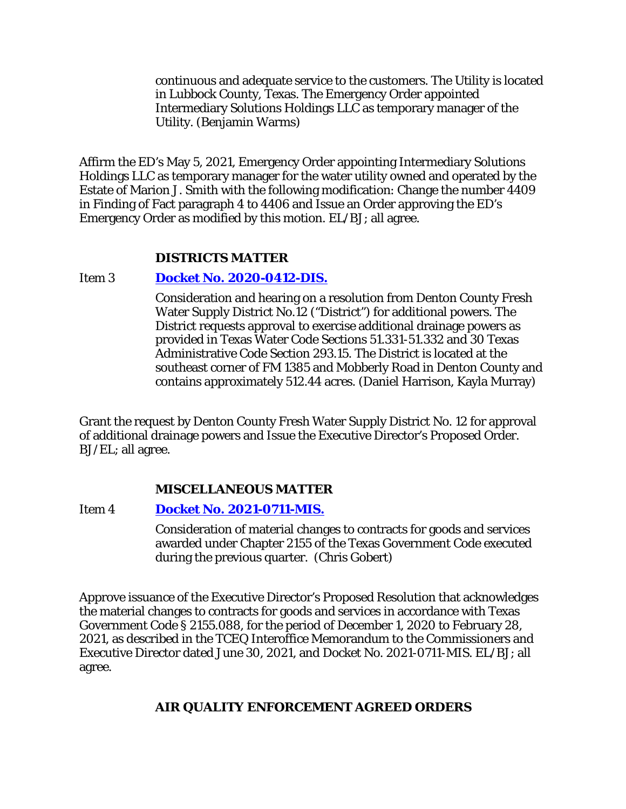continuous and adequate service to the customers. The Utility is located in Lubbock County, Texas. The Emergency Order appointed Intermediary Solutions Holdings LLC as temporary manager of the Utility. (Benjamin Warms)

Affirm the ED's May 5, 2021, Emergency Order appointing Intermediary Solutions Holdings LLC as temporary manager for the water utility owned and operated by the Estate of Marion J. Smith with the following modification: Change the number 4409 in Finding of Fact paragraph 4 to 4406 and Issue an Order approving the ED's Emergency Order as modified by this motion. EL/BJ; all agree.

## **DISTRICTS MATTER**

## Item 3 **[Docket No. 2020-0412-DIS.](http://www.tceq.texas.gov/assets/public/comm_exec/agendas/comm/backup/Agendas/2021/06-30-2021/0412DIS.pdf)**

Consideration and hearing on a resolution from Denton County Fresh Water Supply District No.12 ("District") for additional powers. The District requests approval to exercise additional drainage powers as provided in Texas Water Code Sections 51.331-51.332 and 30 Texas Administrative Code Section 293.15. The District is located at the southeast corner of FM 1385 and Mobberly Road in Denton County and contains approximately 512.44 acres. (Daniel Harrison, Kayla Murray)

Grant the request by Denton County Fresh Water Supply District No. 12 for approval of additional drainage powers and Issue the Executive Director's Proposed Order. BJ/EL; all agree.

# **MISCELLANEOUS MATTER**

Item 4 **[Docket No. 2021-0711-MIS.](http://www.tceq.texas.gov/assets/public/comm_exec/agendas/comm/backup/Agendas/2021/06-30-2021/0711MIS.pdf)**

Consideration of material changes to contracts for goods and services awarded under Chapter 2155 of the Texas Government Code executed during the previous quarter. (Chris Gobert)

Approve issuance of the Executive Director's Proposed Resolution that acknowledges the material changes to contracts for goods and services in accordance with Texas Government Code § 2155.088, for the period of December 1, 2020 to February 28, 2021, as described in the TCEQ Interoffice Memorandum to the Commissioners and Executive Director dated June 30, 2021, and Docket No. 2021-0711-MIS. EL/BJ; all agree.

# **AIR QUALITY ENFORCEMENT AGREED ORDERS**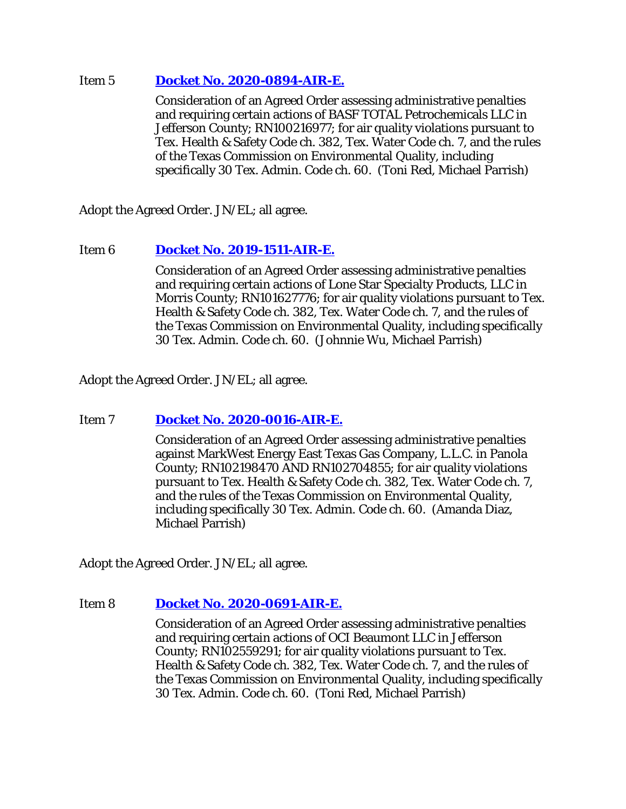## Item 5 **[Docket No. 2020-0894-AIR-E.](http://www.tceq.texas.gov/assets/public/comm_exec/agendas/comm/backup/Agendas/2021/06-30-2021/0894AIR.pdf)**

Consideration of an Agreed Order assessing administrative penalties and requiring certain actions of BASF TOTAL Petrochemicals LLC in Jefferson County; RN100216977; for air quality violations pursuant to Tex. Health & Safety Code ch. 382, Tex. Water Code ch. 7, and the rules of the Texas Commission on Environmental Quality, including specifically 30 Tex. Admin. Code ch. 60. (Toni Red, Michael Parrish)

Adopt the Agreed Order. JN/EL; all agree.

# Item 6 **[Docket No. 2019-1511-AIR-E.](http://www.tceq.texas.gov/assets/public/comm_exec/agendas/comm/backup/Agendas/2021/06-30-2021/1511AIR.pdf)**

Consideration of an Agreed Order assessing administrative penalties and requiring certain actions of Lone Star Specialty Products, LLC in Morris County; RN101627776; for air quality violations pursuant to Tex. Health & Safety Code ch. 382, Tex. Water Code ch. 7, and the rules of the Texas Commission on Environmental Quality, including specifically 30 Tex. Admin. Code ch. 60. (Johnnie Wu, Michael Parrish)

Adopt the Agreed Order. JN/EL; all agree.

# Item 7 **[Docket No. 2020-0016-AIR-E.](http://www.tceq.texas.gov/assets/public/comm_exec/agendas/comm/backup/Agendas/2021/06-30-2021/0016AIR.pdf)**

Consideration of an Agreed Order assessing administrative penalties against MarkWest Energy East Texas Gas Company, L.L.C. in Panola County; RN102198470 AND RN102704855; for air quality violations pursuant to Tex. Health & Safety Code ch. 382, Tex. Water Code ch. 7, and the rules of the Texas Commission on Environmental Quality, including specifically 30 Tex. Admin. Code ch. 60. (Amanda Diaz, Michael Parrish)

Adopt the Agreed Order. JN/EL; all agree.

# Item 8 **[Docket No. 2020-0691-AIR-E.](http://www.tceq.texas.gov/assets/public/comm_exec/agendas/comm/backup/Agendas/2021/06-30-2021/0691AIR.pdf)**

Consideration of an Agreed Order assessing administrative penalties and requiring certain actions of OCI Beaumont LLC in Jefferson County; RN102559291; for air quality violations pursuant to Tex. Health & Safety Code ch. 382, Tex. Water Code ch. 7, and the rules of the Texas Commission on Environmental Quality, including specifically 30 Tex. Admin. Code ch. 60. (Toni Red, Michael Parrish)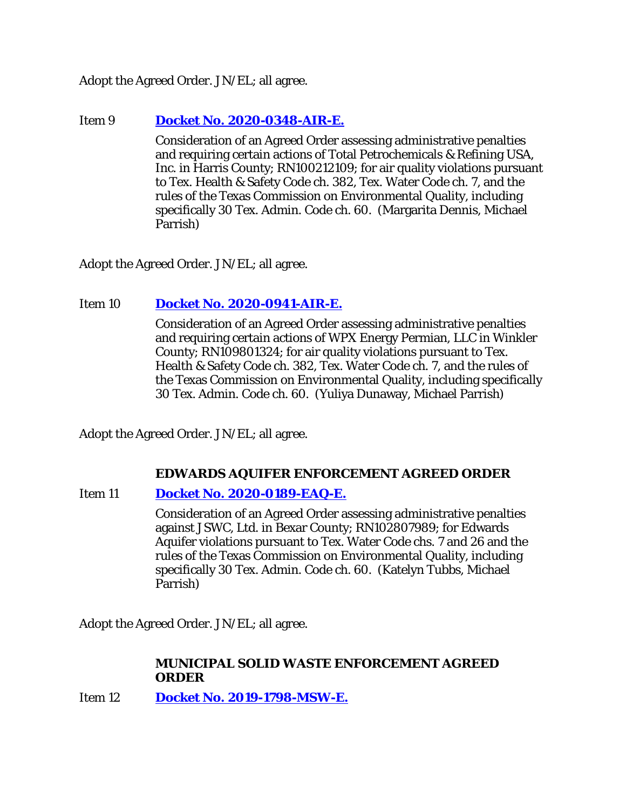Adopt the Agreed Order. JN/EL; all agree.

# Item 9 **[Docket No. 2020-0348-AIR-E.](http://www.tceq.texas.gov/assets/public/comm_exec/agendas/comm/backup/Agendas/2021/06-30-2021/0348AIR.pdf)**

Consideration of an Agreed Order assessing administrative penalties and requiring certain actions of Total Petrochemicals & Refining USA, Inc. in Harris County; RN100212109; for air quality violations pursuant to Tex. Health & Safety Code ch. 382, Tex. Water Code ch. 7, and the rules of the Texas Commission on Environmental Quality, including specifically 30 Tex. Admin. Code ch. 60. (Margarita Dennis, Michael Parrish)

Adopt the Agreed Order. JN/EL; all agree.

# Item 10 **[Docket No. 2020-0941-AIR-E.](http://www.tceq.texas.gov/assets/public/comm_exec/agendas/comm/backup/Agendas/2021/06-30-2021/0941AIR.pdf)**

Consideration of an Agreed Order assessing administrative penalties and requiring certain actions of WPX Energy Permian, LLC in Winkler County; RN109801324; for air quality violations pursuant to Tex. Health & Safety Code ch. 382, Tex. Water Code ch. 7, and the rules of the Texas Commission on Environmental Quality, including specifically 30 Tex. Admin. Code ch. 60. (Yuliya Dunaway, Michael Parrish)

Adopt the Agreed Order. JN/EL; all agree.

#### **EDWARDS AQUIFER ENFORCEMENT AGREED ORDER**

# Item 11 **[Docket No. 2020-0189-EAQ-E.](http://www.tceq.texas.gov/assets/public/comm_exec/agendas/comm/backup/Agendas/2021/06-30-2021/0189EAQ.pdf)**

Consideration of an Agreed Order assessing administrative penalties against JSWC, Ltd. in Bexar County; RN102807989; for Edwards Aquifer violations pursuant to Tex. Water Code chs. 7 and 26 and the rules of the Texas Commission on Environmental Quality, including specifically 30 Tex. Admin. Code ch. 60. (Katelyn Tubbs, Michael Parrish)

Adopt the Agreed Order. JN/EL; all agree.

## **MUNICIPAL SOLID WASTE ENFORCEMENT AGREED ORDER**

Item 12 **[Docket No. 2019-1798-MSW-E.](http://www.tceq.texas.gov/assets/public/comm_exec/agendas/comm/backup/Agendas/2021/06-30-2021/1798MSW.pdf)**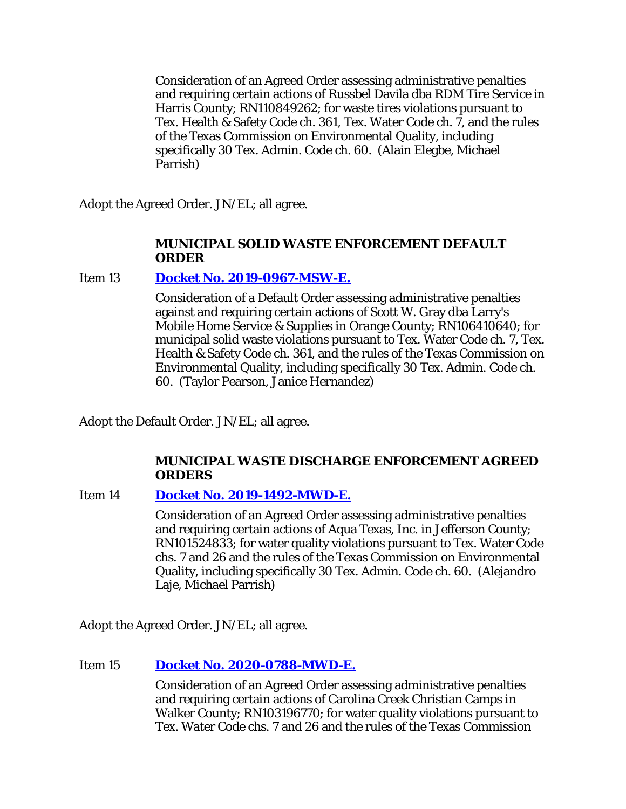Consideration of an Agreed Order assessing administrative penalties and requiring certain actions of Russbel Davila dba RDM Tire Service in Harris County; RN110849262; for waste tires violations pursuant to Tex. Health & Safety Code ch. 361, Tex. Water Code ch. 7, and the rules of the Texas Commission on Environmental Quality, including specifically 30 Tex. Admin. Code ch. 60. (Alain Elegbe, Michael Parrish)

Adopt the Agreed Order. JN/EL; all agree.

# **MUNICIPAL SOLID WASTE ENFORCEMENT DEFAULT ORDER**

# Item 13 **[Docket No. 2019-0967-MSW-E.](http://www.tceq.texas.gov/assets/public/comm_exec/agendas/comm/backup/Agendas/2021/06-30-2021/0967MSW.pdf)**

Consideration of a Default Order assessing administrative penalties against and requiring certain actions of Scott W. Gray dba Larry's Mobile Home Service & Supplies in Orange County; RN106410640; for municipal solid waste violations pursuant to Tex. Water Code ch. 7, Tex. Health & Safety Code ch. 361, and the rules of the Texas Commission on Environmental Quality, including specifically 30 Tex. Admin. Code ch. 60. (Taylor Pearson, Janice Hernandez)

Adopt the Default Order. JN/EL; all agree.

# **MUNICIPAL WASTE DISCHARGE ENFORCEMENT AGREED ORDERS**

# Item 14 **[Docket No. 2019-1492-MWD-E.](http://www.tceq.texas.gov/assets/public/comm_exec/agendas/comm/backup/Agendas/2021/06-30-2021/1492MWD.pdf)**

Consideration of an Agreed Order assessing administrative penalties and requiring certain actions of Aqua Texas, Inc. in Jefferson County; RN101524833; for water quality violations pursuant to Tex. Water Code chs. 7 and 26 and the rules of the Texas Commission on Environmental Quality, including specifically 30 Tex. Admin. Code ch. 60. (Alejandro Laje, Michael Parrish)

Adopt the Agreed Order. JN/EL; all agree.

# Item 15 **[Docket No. 2020-0788-MWD-E.](http://www.tceq.texas.gov/assets/public/comm_exec/agendas/comm/backup/Agendas/2021/06-30-2021/0788MWD.pdf)**

Consideration of an Agreed Order assessing administrative penalties and requiring certain actions of Carolina Creek Christian Camps in Walker County; RN103196770; for water quality violations pursuant to Tex. Water Code chs. 7 and 26 and the rules of the Texas Commission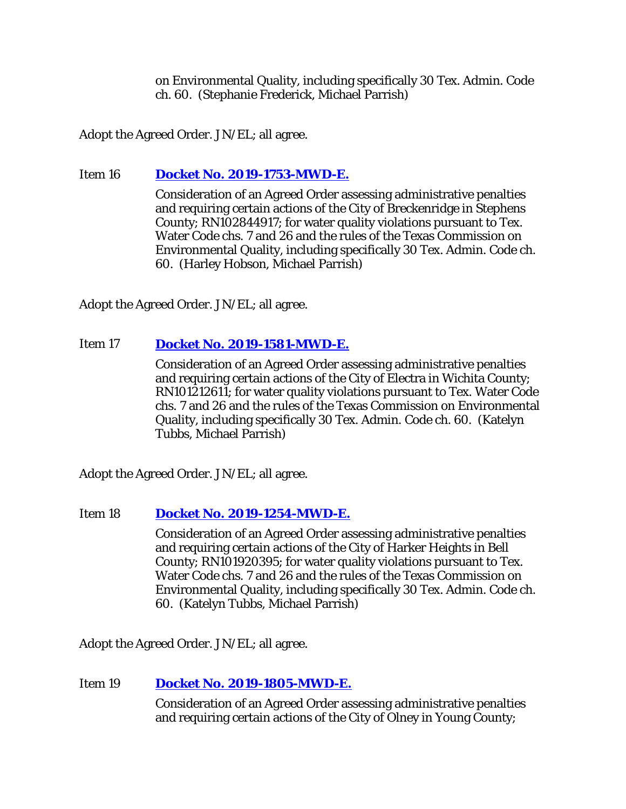on Environmental Quality, including specifically 30 Tex. Admin. Code ch. 60. (Stephanie Frederick, Michael Parrish)

Adopt the Agreed Order. JN/EL; all agree.

# Item 16 **[Docket No. 2019-1753-MWD-E.](http://www.tceq.texas.gov/assets/public/comm_exec/agendas/comm/backup/Agendas/2021/06-30-2021/1753MWD.pdf)**

Consideration of an Agreed Order assessing administrative penalties and requiring certain actions of the City of Breckenridge in Stephens County; RN102844917; for water quality violations pursuant to Tex. Water Code chs. 7 and 26 and the rules of the Texas Commission on Environmental Quality, including specifically 30 Tex. Admin. Code ch. 60. (Harley Hobson, Michael Parrish)

Adopt the Agreed Order. JN/EL; all agree.

# Item 17 **[Docket No. 2019-1581-MWD-E.](http://www.tceq.texas.gov/assets/public/comm_exec/agendas/comm/backup/Agendas/2021/06-30-2021/1581MWD.pdf)**

Consideration of an Agreed Order assessing administrative penalties and requiring certain actions of the City of Electra in Wichita County; RN101212611; for water quality violations pursuant to Tex. Water Code chs. 7 and 26 and the rules of the Texas Commission on Environmental Quality, including specifically 30 Tex. Admin. Code ch. 60. (Katelyn Tubbs, Michael Parrish)

Adopt the Agreed Order. JN/EL; all agree.

Item 18 **[Docket No. 2019-1254-MWD-E.](http://www.tceq.texas.gov/assets/public/comm_exec/agendas/comm/backup/Agendas/2021/06-30-2021/1254MWD.pdf)**

Consideration of an Agreed Order assessing administrative penalties and requiring certain actions of the City of Harker Heights in Bell County; RN101920395; for water quality violations pursuant to Tex. Water Code chs. 7 and 26 and the rules of the Texas Commission on Environmental Quality, including specifically 30 Tex. Admin. Code ch. 60. (Katelyn Tubbs, Michael Parrish)

Adopt the Agreed Order. JN/EL; all agree.

# Item 19 **[Docket No. 2019-1805-MWD-E.](http://www.tceq.texas.gov/assets/public/comm_exec/agendas/comm/backup/Agendas/2021/06-30-2021/1805MWD.pdf)**

Consideration of an Agreed Order assessing administrative penalties and requiring certain actions of the City of Olney in Young County;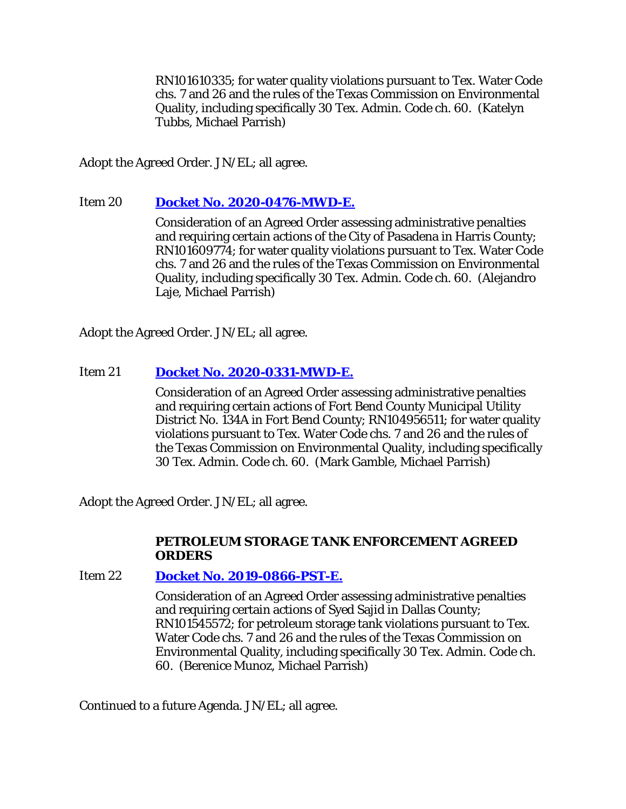RN101610335; for water quality violations pursuant to Tex. Water Code chs. 7 and 26 and the rules of the Texas Commission on Environmental Quality, including specifically 30 Tex. Admin. Code ch. 60. (Katelyn Tubbs, Michael Parrish)

Adopt the Agreed Order. JN/EL; all agree.

# Item 20 **[Docket No. 2020-0476-MWD-E.](http://www.tceq.texas.gov/assets/public/comm_exec/agendas/comm/backup/Agendas/2021/06-30-2021/0476MWD.pdf)**

Consideration of an Agreed Order assessing administrative penalties and requiring certain actions of the City of Pasadena in Harris County; RN101609774; for water quality violations pursuant to Tex. Water Code chs. 7 and 26 and the rules of the Texas Commission on Environmental Quality, including specifically 30 Tex. Admin. Code ch. 60. (Alejandro Laje, Michael Parrish)

Adopt the Agreed Order. JN/EL; all agree.

# Item 21 **[Docket No. 2020-0331-MWD-E.](http://www.tceq.texas.gov/assets/public/comm_exec/agendas/comm/backup/Agendas/2021/06-30-2021/0331MWD.pdf)**

Consideration of an Agreed Order assessing administrative penalties and requiring certain actions of Fort Bend County Municipal Utility District No. 134A in Fort Bend County; RN104956511; for water quality violations pursuant to Tex. Water Code chs. 7 and 26 and the rules of the Texas Commission on Environmental Quality, including specifically 30 Tex. Admin. Code ch. 60. (Mark Gamble, Michael Parrish)

Adopt the Agreed Order. JN/EL; all agree.

## **PETROLEUM STORAGE TANK ENFORCEMENT AGREED ORDERS**

# Item 22 **[Docket No. 2019-0866-PST-E.](http://www.tceq.texas.gov/assets/public/comm_exec/agendas/comm/backup/Agendas/2021/06-30-2021/0866PST.pdf)**

Consideration of an Agreed Order assessing administrative penalties and requiring certain actions of Syed Sajid in Dallas County; RN101545572; for petroleum storage tank violations pursuant to Tex. Water Code chs. 7 and 26 and the rules of the Texas Commission on Environmental Quality, including specifically 30 Tex. Admin. Code ch. 60. (Berenice Munoz, Michael Parrish)

Continued to a future Agenda. JN/EL; all agree.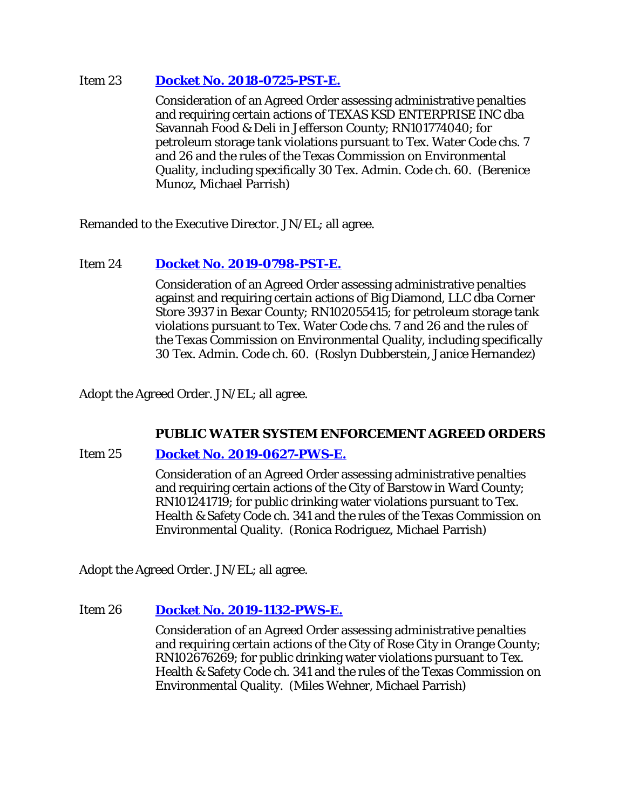# Item 23 **[Docket No. 2018-0725-PST-E.](http://www.tceq.texas.gov/assets/public/comm_exec/agendas/comm/backup/Agendas/2021/06-30-2021/0725PST.pdf)**

Consideration of an Agreed Order assessing administrative penalties and requiring certain actions of TEXAS KSD ENTERPRISE INC dba Savannah Food & Deli in Jefferson County; RN101774040; for petroleum storage tank violations pursuant to Tex. Water Code chs. 7 and 26 and the rules of the Texas Commission on Environmental Quality, including specifically 30 Tex. Admin. Code ch. 60. (Berenice Munoz, Michael Parrish)

Remanded to the Executive Director. JN/EL; all agree.

# Item 24 **[Docket No. 2019-0798-PST-E.](http://www.tceq.texas.gov/assets/public/comm_exec/agendas/comm/backup/Agendas/2021/06-30-2021/0798PST.pdf)**

Consideration of an Agreed Order assessing administrative penalties against and requiring certain actions of Big Diamond, LLC dba Corner Store 3937 in Bexar County; RN102055415; for petroleum storage tank violations pursuant to Tex. Water Code chs. 7 and 26 and the rules of the Texas Commission on Environmental Quality, including specifically 30 Tex. Admin. Code ch. 60. (Roslyn Dubberstein, Janice Hernandez)

Adopt the Agreed Order. JN/EL; all agree.

# **PUBLIC WATER SYSTEM ENFORCEMENT AGREED ORDERS**

#### Item 25 **[Docket No. 2019-0627-PWS-E.](http://www.tceq.texas.gov/assets/public/comm_exec/agendas/comm/backup/Agendas/2021/06-30-2021/0627PWS.pdf)**

Consideration of an Agreed Order assessing administrative penalties and requiring certain actions of the City of Barstow in Ward County; RN101241719; for public drinking water violations pursuant to Tex. Health & Safety Code ch. 341 and the rules of the Texas Commission on Environmental Quality. (Ronica Rodriguez, Michael Parrish)

Adopt the Agreed Order. JN/EL; all agree.

#### Item 26 **[Docket No. 2019-1132-PWS-E.](http://www.tceq.texas.gov/assets/public/comm_exec/agendas/comm/backup/Agendas/2021/06-30-2021/1132PWS.pdf)**

Consideration of an Agreed Order assessing administrative penalties and requiring certain actions of the City of Rose City in Orange County; RN102676269; for public drinking water violations pursuant to Tex. Health & Safety Code ch. 341 and the rules of the Texas Commission on Environmental Quality. (Miles Wehner, Michael Parrish)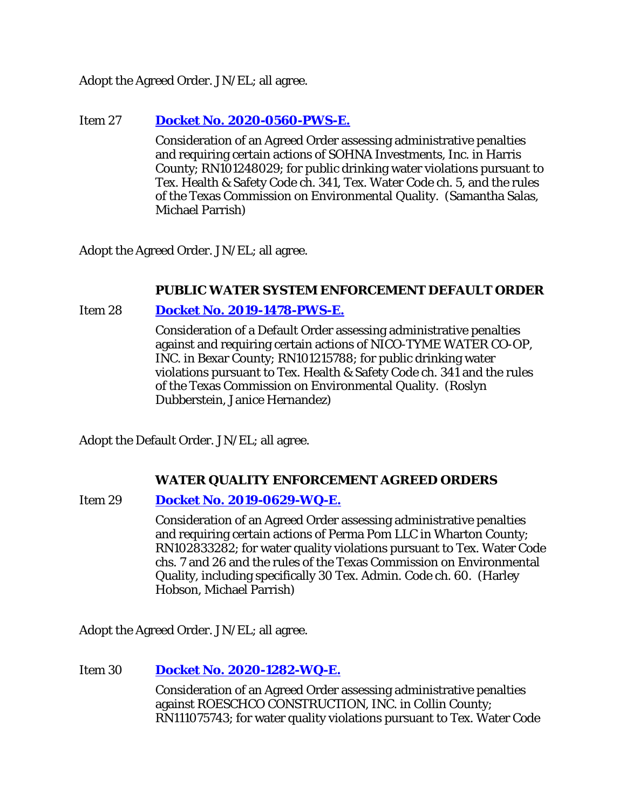Adopt the Agreed Order. JN/EL; all agree.

# Item 27 **[Docket No. 2020-0560-PWS-E.](http://www.tceq.texas.gov/assets/public/comm_exec/agendas/comm/backup/Agendas/2021/06-30-2021/0560PWS.pdf)**

Consideration of an Agreed Order assessing administrative penalties and requiring certain actions of SOHNA Investments, Inc. in Harris County; RN101248029; for public drinking water violations pursuant to Tex. Health & Safety Code ch. 341, Tex. Water Code ch. 5, and the rules of the Texas Commission on Environmental Quality. (Samantha Salas, Michael Parrish)

Adopt the Agreed Order. JN/EL; all agree.

# **PUBLIC WATER SYSTEM ENFORCEMENT DEFAULT ORDER**

# Item 28 **[Docket No. 2019-1478-PWS-E.](http://www.tceq.texas.gov/assets/public/comm_exec/agendas/comm/backup/Agendas/2021/06-30-2021/1478PWS.pdf)**

Consideration of a Default Order assessing administrative penalties against and requiring certain actions of NICO-TYME WATER CO-OP, INC. in Bexar County; RN101215788; for public drinking water violations pursuant to Tex. Health & Safety Code ch. 341 and the rules of the Texas Commission on Environmental Quality. (Roslyn Dubberstein, Janice Hernandez)

Adopt the Default Order. JN/EL; all agree.

# **WATER QUALITY ENFORCEMENT AGREED ORDERS**

# Item 29 **[Docket No. 2019-0629-WQ-E.](http://www.tceq.texas.gov/assets/public/comm_exec/agendas/comm/backup/Agendas/2021/06-30-2021/0629WQ.pdf)**

Consideration of an Agreed Order assessing administrative penalties and requiring certain actions of Perma Pom LLC in Wharton County; RN102833282; for water quality violations pursuant to Tex. Water Code chs. 7 and 26 and the rules of the Texas Commission on Environmental Quality, including specifically 30 Tex. Admin. Code ch. 60. (Harley Hobson, Michael Parrish)

Adopt the Agreed Order. JN/EL; all agree.

# Item 30 **[Docket No. 2020-1282-WQ-E.](http://www.tceq.texas.gov/assets/public/comm_exec/agendas/comm/backup/Agendas/2021/06-30-2021/1282WQ.pdf)**

Consideration of an Agreed Order assessing administrative penalties against ROESCHCO CONSTRUCTION, INC. in Collin County; RN111075743; for water quality violations pursuant to Tex. Water Code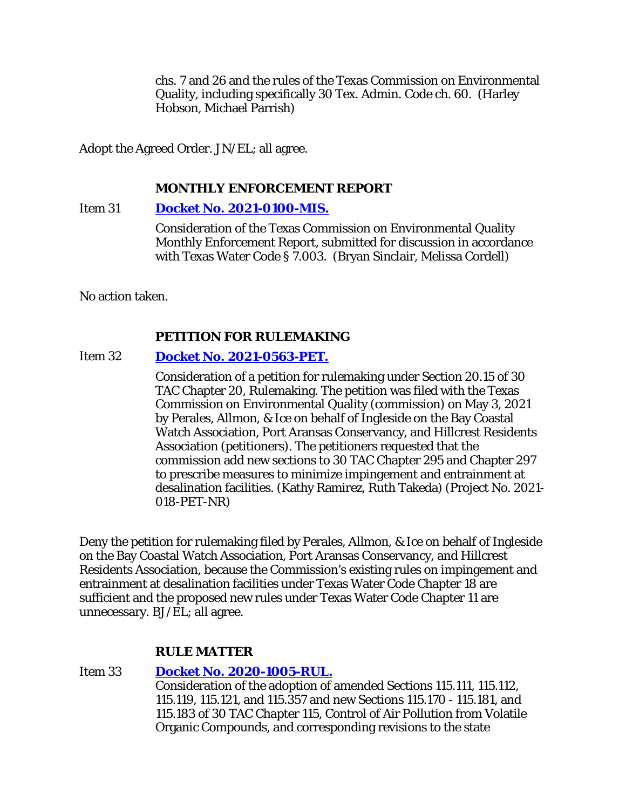chs. 7 and 26 and the rules of the Texas Commission on Environmental Quality, including specifically 30 Tex. Admin. Code ch. 60. (Harley Hobson, Michael Parrish)

Adopt the Agreed Order. JN/EL; all agree.

# **MONTHLY ENFORCEMENT REPORT**

Item 31 **[Docket No. 2021-0100-MIS.](http://www.tceq.texas.gov/assets/public/comm_exec/agendas/comm/backup/Agendas/2021/06-30-2021/0100MIS.pdf)**

Consideration of the Texas Commission on Environmental Quality Monthly Enforcement Report, submitted for discussion in accordance with Texas Water Code § 7.003. (Bryan Sinclair, Melissa Cordell)

No action taken.

# **PETITION FOR RULEMAKING**

# Item 32 **[Docket No. 2021-0563-PET.](http://www.tceq.texas.gov/assets/public/comm_exec/agendas/comm/backup/Agendas/2021/06-30-2021/0563PET.pdf)**

Consideration of a petition for rulemaking under Section 20.15 of 30 TAC Chapter 20, Rulemaking. The petition was filed with the Texas Commission on Environmental Quality (commission) on May 3, 2021 by Perales, Allmon, & Ice on behalf of Ingleside on the Bay Coastal Watch Association, Port Aransas Conservancy, and Hillcrest Residents Association (petitioners). The petitioners requested that the commission add new sections to 30 TAC Chapter 295 and Chapter 297 to prescribe measures to minimize impingement and entrainment at desalination facilities. (Kathy Ramirez, Ruth Takeda) (Project No. 2021- 018-PET-NR)

Deny the petition for rulemaking filed by Perales, Allmon, & Ice on behalf of Ingleside on the Bay Coastal Watch Association, Port Aransas Conservancy, and Hillcrest Residents Association, because the Commission's existing rules on impingement and entrainment at desalination facilities under Texas Water Code Chapter 18 are sufficient and the proposed new rules under Texas Water Code Chapter 11 are unnecessary. BJ/EL; all agree.

# **RULE MATTER**

# Item 33 **[Docket No. 2020-1005-RUL.](http://www.tceq.texas.gov/assets/public/comm_exec/agendas/comm/backup/Agendas/2021/06-30-2021/1005RUL.pdf)**

Consideration of the adoption of amended Sections 115.111, 115.112, 115.119, 115.121, and 115.357 and new Sections 115.170 - 115.181, and 115.183 of 30 TAC Chapter 115, Control of Air Pollution from Volatile Organic Compounds, and corresponding revisions to the state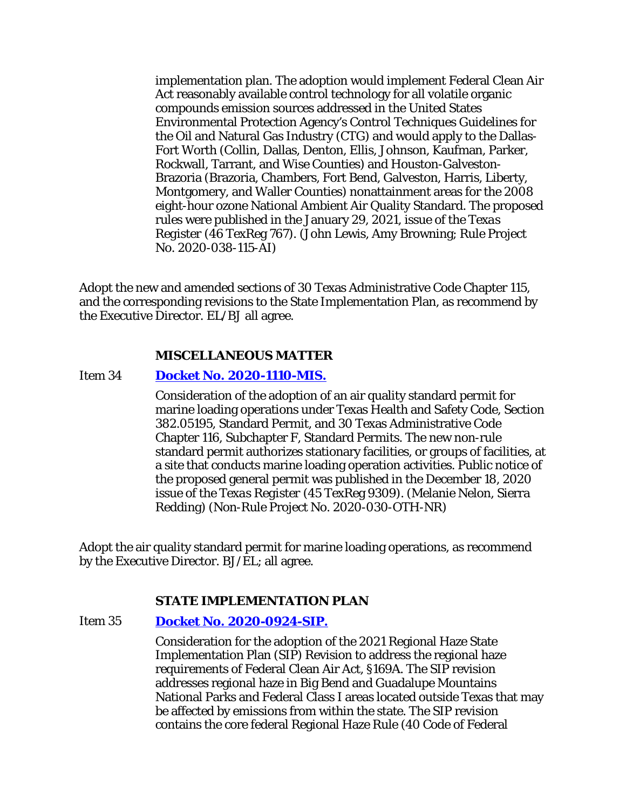implementation plan. The adoption would implement Federal Clean Air Act reasonably available control technology for all volatile organic compounds emission sources addressed in the United States Environmental Protection Agency's Control Techniques Guidelines for the Oil and Natural Gas Industry (CTG) and would apply to the Dallas-Fort Worth (Collin, Dallas, Denton, Ellis, Johnson, Kaufman, Parker, Rockwall, Tarrant, and Wise Counties) and Houston-Galveston-Brazoria (Brazoria, Chambers, Fort Bend, Galveston, Harris, Liberty, Montgomery, and Waller Counties) nonattainment areas for the 2008 eight-hour ozone National Ambient Air Quality Standard. The proposed rules were published in the January 29, 2021, issue of the *Texas Register* (46 TexReg 767). (John Lewis, Amy Browning; Rule Project No. 2020-038-115-AI)

Adopt the new and amended sections of 30 Texas Administrative Code Chapter 115, and the corresponding revisions to the State Implementation Plan, as recommend by the Executive Director. EL/BJ all agree.

#### **MISCELLANEOUS MATTER**

#### Item 34 **[Docket No. 2020-1110-MIS.](http://www.tceq.texas.gov/assets/public/comm_exec/agendas/comm/backup/Agendas/2021/06-30-2021/1110MIS.pdf)**

Consideration of the adoption of an air quality standard permit for marine loading operations under Texas Health and Safety Code, Section 382.05195, Standard Permit, and 30 Texas Administrative Code Chapter 116, Subchapter F, Standard Permits. The new non-rule standard permit authorizes stationary facilities, or groups of facilities, at a site that conducts marine loading operation activities. Public notice of the proposed general permit was published in the December 18, 2020 issue of the *Texas Register* (45 TexReg 9309). (Melanie Nelon, Sierra Redding) (Non-Rule Project No. 2020-030-OTH-NR)

Adopt the air quality standard permit for marine loading operations, as recommend by the Executive Director. BJ/EL; all agree.

#### **STATE IMPLEMENTATION PLAN**

#### Item 35 **[Docket No. 2020-0924-SIP.](http://www.tceq.texas.gov/assets/public/comm_exec/agendas/comm/backup/Agendas/2021/06-30-2021/0924SIP.pdf)**

Consideration for the adoption of the 2021 Regional Haze State Implementation Plan (SIP) Revision to address the regional haze requirements of Federal Clean Air Act, §169A. The SIP revision addresses regional haze in Big Bend and Guadalupe Mountains National Parks and Federal Class I areas located outside Texas that may be affected by emissions from within the state. The SIP revision contains the core federal Regional Haze Rule (40 Code of Federal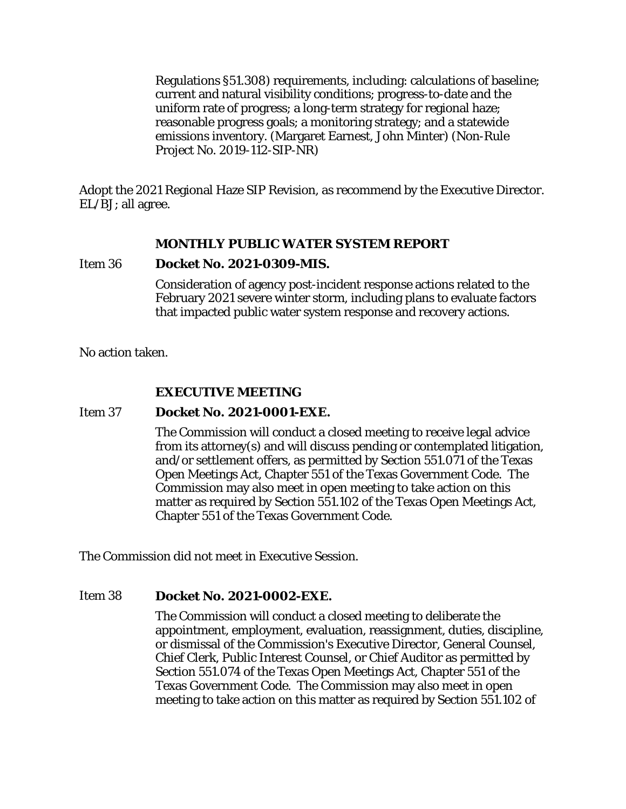Regulations §51.308) requirements, including: calculations of baseline; current and natural visibility conditions; progress-to-date and the uniform rate of progress; a long-term strategy for regional haze; reasonable progress goals; a monitoring strategy; and a statewide emissions inventory. (Margaret Earnest, John Minter) (Non-Rule Project No. 2019-112-SIP-NR)

Adopt the 2021 Regional Haze SIP Revision, as recommend by the Executive Director. EL/BJ; all agree.

## **MONTHLY PUBLIC WATER SYSTEM REPORT**

#### Item 36 **Docket No. 2021-0309-MIS.**

Consideration of agency post-incident response actions related to the February 2021 severe winter storm, including plans to evaluate factors that impacted public water system response and recovery actions.

No action taken.

# **EXECUTIVE MEETING**

#### Item 37 **Docket No. 2021-0001-EXE.**

The Commission will conduct a closed meeting to receive legal advice from its attorney(s) and will discuss pending or contemplated litigation, and/or settlement offers, as permitted by Section 551.071 of the Texas Open Meetings Act, Chapter 551 of the Texas Government Code. The Commission may also meet in open meeting to take action on this matter as required by Section 551.102 of the Texas Open Meetings Act, Chapter 551 of the Texas Government Code.

The Commission did not meet in Executive Session.

#### Item 38 **Docket No. 2021-0002-EXE.**

The Commission will conduct a closed meeting to deliberate the appointment, employment, evaluation, reassignment, duties, discipline, or dismissal of the Commission's Executive Director, General Counsel, Chief Clerk, Public Interest Counsel, or Chief Auditor as permitted by Section 551.074 of the Texas Open Meetings Act, Chapter 551 of the Texas Government Code. The Commission may also meet in open meeting to take action on this matter as required by Section 551.102 of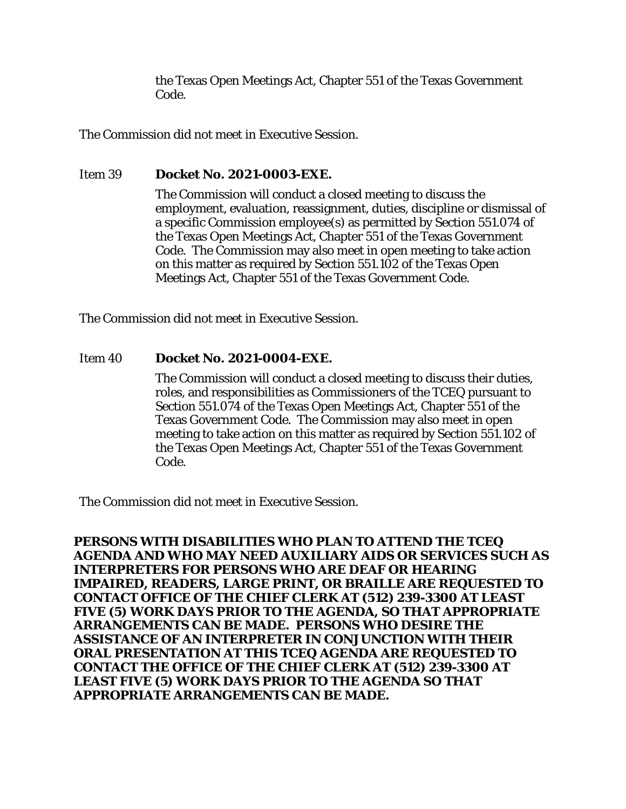the Texas Open Meetings Act, Chapter 551 of the Texas Government Code.

The Commission did not meet in Executive Session.

## Item 39 **Docket No. 2021-0003-EXE.**

The Commission will conduct a closed meeting to discuss the employment, evaluation, reassignment, duties, discipline or dismissal of a specific Commission employee(s) as permitted by Section 551.074 of the Texas Open Meetings Act, Chapter 551 of the Texas Government Code. The Commission may also meet in open meeting to take action on this matter as required by Section 551.102 of the Texas Open Meetings Act, Chapter 551 of the Texas Government Code.

The Commission did not meet in Executive Session.

## Item 40 **Docket No. 2021-0004-EXE.**

The Commission will conduct a closed meeting to discuss their duties, roles, and responsibilities as Commissioners of the TCEQ pursuant to Section 551.074 of the Texas Open Meetings Act, Chapter 551 of the Texas Government Code. The Commission may also meet in open meeting to take action on this matter as required by Section 551.102 of the Texas Open Meetings Act, Chapter 551 of the Texas Government Code.

The Commission did not meet in Executive Session.

**PERSONS WITH DISABILITIES WHO PLAN TO ATTEND THE TCEQ AGENDA AND WHO MAY NEED AUXILIARY AIDS OR SERVICES SUCH AS INTERPRETERS FOR PERSONS WHO ARE DEAF OR HEARING IMPAIRED, READERS, LARGE PRINT, OR BRAILLE ARE REQUESTED TO CONTACT OFFICE OF THE CHIEF CLERK AT (512) 239-3300 AT LEAST FIVE (5) WORK DAYS PRIOR TO THE AGENDA, SO THAT APPROPRIATE ARRANGEMENTS CAN BE MADE. PERSONS WHO DESIRE THE ASSISTANCE OF AN INTERPRETER IN CONJUNCTION WITH THEIR ORAL PRESENTATION AT THIS TCEQ AGENDA ARE REQUESTED TO CONTACT THE OFFICE OF THE CHIEF CLERK AT (512) 239-3300 AT LEAST FIVE (5) WORK DAYS PRIOR TO THE AGENDA SO THAT APPROPRIATE ARRANGEMENTS CAN BE MADE.**